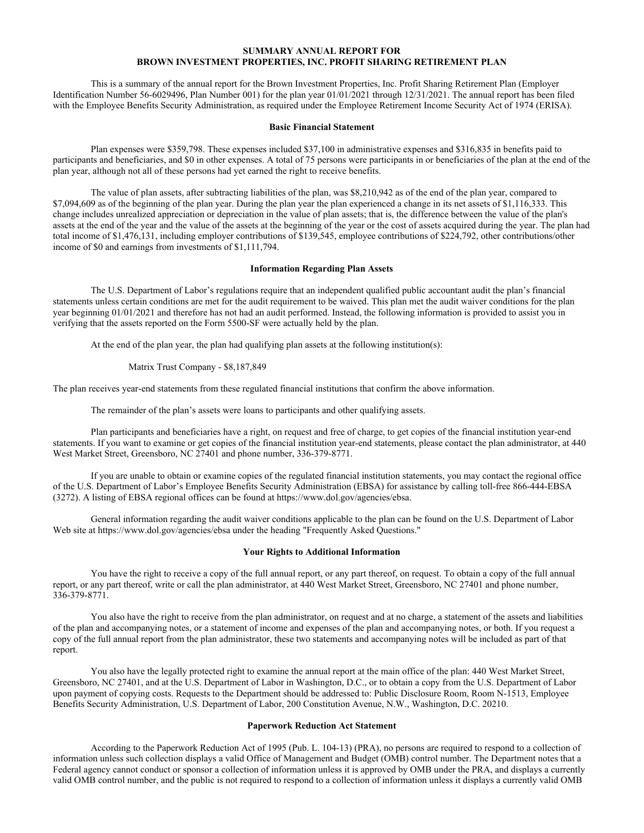# **SUMMARY ANNUAL REPORT FOR BROWN INVESTMENT PROPERTIES, INC. PROFIT SHARING RETIREMENT PLAN**

This is a summary of the annual report for the Brown Investment Properties, Inc. Profit Sharing Retirement Plan (Employer Identification Number 56-6029496, Plan Number 001) for the plan year 01/01/2021 through 12/31/2021. The annual report has been filed with the Employee Benefits Security Administration, as required under the Employee Retirement Income Security Act of 1974 (ERISA).

### **Basic Financial Statement**

Plan expenses were \$359,798. These expenses included \$37,100 in administrative expenses and \$316,835 in benefits paid to participants and beneficiaries, and \$0 in other expenses. A total of 75 persons were participants in or beneficiaries of the plan at the end of the plan year, although not all of these persons had yet earned the right to receive benefits.

The value of plan assets, after subtracting liabilities of the plan, was \$8,210,942 as of the end of the plan year, compared to \$7,094,609 as of the beginning of the plan year. During the plan year the plan experienced a change in its net assets of \$1,116,333. This change includes unrealized appreciation or depreciation in the value of plan assets; that is, the difference between the value of the plan's assets at the end of the year and the value of the assets at the beginning of the year or the cost of assets acquired during the year. The plan had total income of \$1,476,131, including employer contributions of \$139,545, employee contributions of \$224,792, other contributions/other income of \$0 and earnings from investments of \$1,111,794.

#### **Information Regarding Plan Assets**

The U.S. Department of Labor's regulations require that an independent qualified public accountant audit the plan's financial statements unless certain conditions are met for the audit requirement to be waived. This plan met the audit waiver conditions for the plan year beginning 01/01/2021 and therefore has not had an audit performed. Instead, the following information is provided to assist you in verifying that the assets reported on the Form 5500-SF were actually held by the plan.

At the end of the plan year, the plan had qualifying plan assets at the following institution(s):

Matrix Trust Company - \$8,187,849

The plan receives year-end statements from these regulated financial institutions that confirm the above information.

The remainder of the plan's assets were loans to participants and other qualifying assets.

Plan participants and beneficiaries have a right, on request and free of charge, to get copies of the financial institution year-end statements. If you want to examine or get copies of the financial institution year-end statements, please contact the plan administrator, at 440 West Market Street, Greensboro, NC 27401 and phone number, 336-379-8771.

If you are unable to obtain or examine copies of the regulated financial institution statements, you may contact the regional office of the U.S. Department of Labor's Employee Benefits Security Administration (EBSA) for assistance by calling toll-free 866-444-EBSA (3272). A listing of EBSA regional offices can be found at https://www.dol.gov/agencies/ebsa.

General information regarding the audit waiver conditions applicable to the plan can be found on the U.S. Department of Labor Web site at https://www.dol.gov/agencies/ebsa under the heading "Frequently Asked Questions."

#### **Your Rights to Additional Information**

You have the right to receive a copy of the full annual report, or any part thereof, on request. To obtain a copy of the full annual report, or any part thereof, write or call the plan administrator, at 440 West Market Street, Greensboro, NC 27401 and phone number, 336-379-8771.

You also have the right to receive from the plan administrator, on request and at no charge, a statement of the assets and liabilities of the plan and accompanying notes, or a statement of income and expenses of the plan and accompanying notes, or both. If you request a copy of the full annual report from the plan administrator, these two statements and accompanying notes will be included as part of that report.

You also have the legally protected right to examine the annual report at the main office of the plan: 440 West Market Street, Greensboro, NC 27401, and at the U.S. Department of Labor in Washington, D.C., or to obtain a copy from the U.S. Department of Labor upon payment of copying costs. Requests to the Department should be addressed to: Public Disclosure Room, Room N-1513, Employee Benefits Security Administration, U.S. Department of Labor, 200 Constitution Avenue, N.W., Washington, D.C. 20210.

## **Paperwork Reduction Act Statement**

According to the Paperwork Reduction Act of 1995 (Pub. L. 104-13) (PRA), no persons are required to respond to a collection of information unless such collection displays a valid Office of Management and Budget (OMB) control number. The Department notes that a Federal agency cannot conduct or sponsor a collection of information unless it is approved by OMB under the PRA, and displays a currently valid OMB control number, and the public is not required to respond to a collection of information unless it displays a currently valid OMB